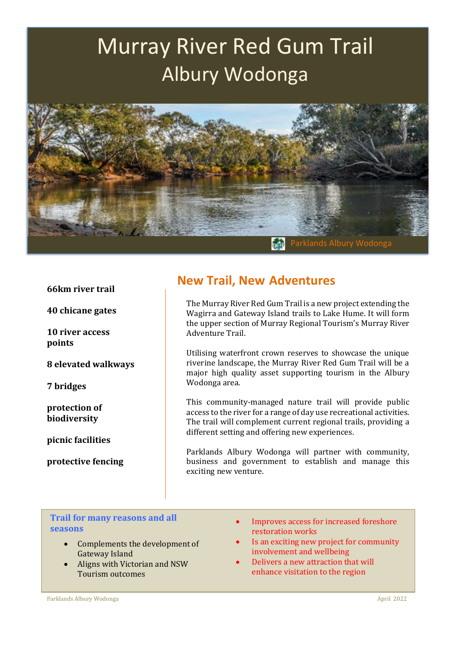# Murray River Red Gum Trail Albury Wodonga



#### **66km river trail**

**40 chicane gates**

**10 river access points**

**8 elevated walkways**

**7 bridges**

**protection of biodiversity**

**picnic facilities**

**protective fencing**

## **New Trail, New Adventures**

The Murray River Red Gum Trail is a new project extending the Wagirra and Gateway Island trails to Lake Hume. It will form the upper section of Murray Regional Tourism's Murray River Adventure Trail.

Utilising waterfront crown reserves to showcase the unique riverine landscape, the Murray River Red Gum Trail will be a major high quality asset supporting tourism in the Albury Wodonga area.

This community-managed nature trail will provide public access to the river for a range of day use recreational activities. The trail will complement current regional trails, providing a different setting and offering new experiences.

Parklands Albury Wodonga will partner with community, business and government to establish and manage this exciting new venture.

### **Trail for many reasons and all seasons**

• Complements the development of Gateway Island

.

- Aligns with Victorian and NSW Tourism outcomes
- Improves access for increased foreshore restoration works
- Is an exciting new project for community involvement and wellbeing
- Delivers a new attraction that will enhance visitation to the region